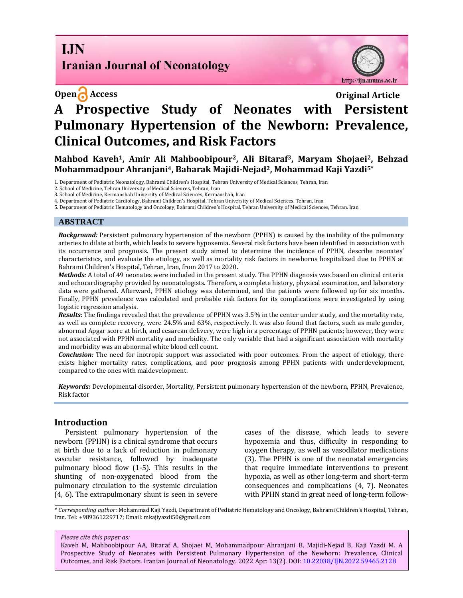## **I.IN Iranian Journal of Neonatology**

**Open Access Original Article** 



# **A Prospective Study of Neonates with Persistent Pulmonary Hypertension of the Newborn: Prevalence, Clinical Outcomes, and Risk Factors**

**Mahbod Kaveh1, Amir Ali Mahboobipour2, Ali Bitaraf3, Maryam Shojaei2, Behzad Mohammadpour Ahranjani4, Baharak Majidi-Nejad2, Mohammad Kaji Yazdi5\***

1. Department of Pediatric Neonatology, Bahrami Children's Hospital, Tehran University of Medical Sciences, Tehran, Iran

2. School of Medicine, Tehran University of Medical Sciences, Tehran, Iran

3. School of Medicine, Kermanshah University of Medical Sciences, Kermanshah, Iran

4. Department of Pediatric Cardiology, Bahrami Children's Hospital, Tehran University of Medical Sciences, Tehran, Iran

5. Department of Pediatric Hematology and Oncology, Bahrami Children's Hospital, Tehran University of Medical Sciences, Tehran, Iran

#### **ABSTRACT**

*Background:* Persistent pulmonary hypertension of the newborn (PPHN) is caused by the inability of the pulmonary arteries to dilate at birth, which leads to severe hypoxemia. Several risk factors have been identified in association with its occurrence and prognosis. The present study aimed to determine the incidence of PPHN, describe neonates' characteristics, and evaluate the etiology, as well as mortality risk factors in newborns hospitalized due to PPHN at Bahrami Children's Hospital, Tehran, Iran, from 2017 to 2020.

*Methods:* A total of 49 neonates were included in the present study. The PPHN diagnosis was based on clinical criteria and echocardiography provided by neonatologists. Therefore, a complete history, physical examination, and laboratory data were gathered. Afterward, PPHN etiology was determined, and the patients were followed up for six months. Finally, PPHN prevalence was calculated and probable risk factors for its complications were investigated by using logistic regression analysis.

*Results:* The findings revealed that the prevalence of PPHN was 3.5% in the center under study, and the mortality rate, as well as complete recovery, were 24.5% and 63%, respectively. It was also found that factors, such as male gender, abnormal Apgar score at birth, and cesarean delivery, were high in a percentage of PPHN patients; however, they were not associated with PPHN mortality and morbidity. The only variable that had a significant association with mortality and morbidity was an abnormal white blood cell count.

*Conclusion:* The need for inotropic support was associated with poor outcomes. From the aspect of etiology, there exists higher mortality rates, complications, and poor prognosis among PPHN patients with underdevelopment, compared to the ones with maldevelopment.

*Keywords:* Developmental disorder, Mortality, Persistent pulmonary hypertension of the newborn, PPHN, Prevalence, Risk factor

### **Introduction**

Persistent pulmonary hypertension of the newborn (PPHN) is a clinical syndrome that occurs at birth due to a lack of reduction in pulmonary vascular resistance, followed by inadequate pulmonary blood flow (1-5). This results in the shunting of non-oxygenated blood from the pulmonary circulation to the systemic circulation (4, 6). The extrapulmonary shunt is seen in severe cases of the disease, which leads to severe hypoxemia and thus, difficulty in responding to oxygen therapy, as well as vasodilator medications (3). The PPHN is one of the neonatal emergencies that require immediate interventions to prevent hypoxia, as well as other long-term and short-term consequences and complications (4, 7). Neonates with PPHN stand in great need of long-term follow-

*\* Corresponding author*: Mohammad Kaji Yazdi, Department of Pediatric Hematology and Oncology, Bahrami Children's Hospital, Tehran, Iran. Tel: +989361229717; Email[: mkajiyazdi50@gmail.com](mailto:mkajiyazdi50@gmail.com)

#### *Please cite this paper as:*

Kaveh M, Mahboobipour AA, Bitaraf A, Shojaei M, Mohammadpour Ahranjani B, Majidi-Nejad B, Kaji Yazdi M. A Prospective Study of Neonates with Persistent Pulmonary Hypertension of the Newborn: Prevalence, Clinical Outcomes, and Risk Factors. Iranian Journal of Neonatology. 2022 Apr: 13(2). DOI: [10.22038/IJN.2022.59465.2128](https://ijn.mums.ac.ir/)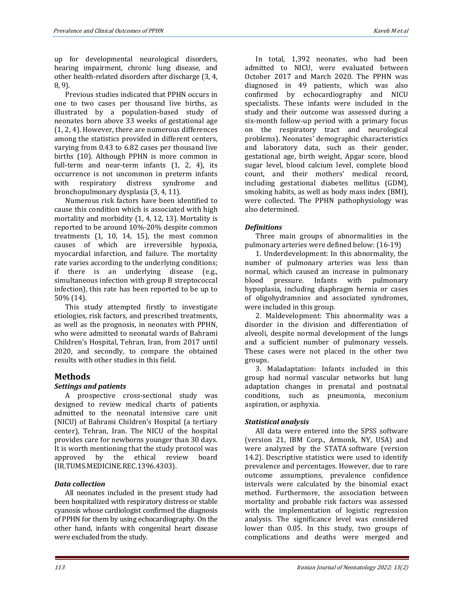up for developmental neurological disorders, hearing impairment, chronic lung disease, and other health-related disorders after discharge (3, 4, 8, 9).

Previous studies indicated that PPHN occurs in one to two cases per thousand live births, as illustrated by a population-based study of neonates born above 33 weeks of gestational age (1, 2, 4). However, there are numerous differences among the statistics provided in different centers, varying from 0.43 to 6.82 cases per thousand live births (10). Although PPHN is more common in full-term and near-term infants (1, 2, 4), its occurrence is not uncommon in preterm infants with respiratory distress syndrome and bronchopulmonary dysplasia (3, 4, 11).

Numerous risk factors have been identified to cause this condition which is associated with high mortality and morbidity (1, 4, 12, 13). Mortality is reported to be around 10%-20% despite common treatments (1, 10, 14, 15), the most common causes of which are irreversible hypoxia, myocardial infarction, and failure. The mortality rate varies according to the underlying conditions; if there is an underlying disease (e.g., simultaneous infection with group B streptococcal infection), this rate has been reported to be up to 50% (14).

This study attempted firstly to investigate etiologies, risk factors, and prescribed treatments, as well as the prognosis, in neonates with PPHN, who were admitted to neonatal wards of Bahrami Children's Hospital, Tehran, Iran, from 2017 until 2020, and secondly, to compare the obtained results with other studies in this field.

## **Methods**

#### *Settings and patients*

A prospective cross-sectional study was designed to review medical charts of patients admitted to the neonatal intensive care unit (NICU) of Bahrami Children's Hospital (a tertiary center), Tehran, Iran. The NICU of the hospital provides care for newborns younger than 30 days. It is worth mentioning that the study protocol was approved by the ethical review board (IR.TUMS.MEDICINE.REC.1396.4303).

## *Data collection*

All neonates included in the present study had been hospitalized with respiratory distress or stable cyanosis whose cardiologist confirmed the diagnosis of PPHN for them by using echocardiography. On the other hand, infants with congenital heart disease were excluded from the study.

In total, 1,392 neonates, who had been admitted to NICU, were evaluated between October 2017 and March 2020. The PPHN was diagnosed in 49 patients, which was also confirmed by echocardiography and NICU specialists. These infants were included in the study and their outcome was assessed during a six-month follow-up period with a primary focus on the respiratory tract and neurological problems). Neonates' demographic characteristics and laboratory data, such as their gender, gestational age, birth weight, Apgar score, blood sugar level, blood calcium level, complete blood count, and their mothers' medical record, including gestational diabetes mellitus (GDM), smoking habits, as well as body mass index (BMI), were collected. The PPHN pathophysiology was also determined.

### *Definitions*

Three main groups of abnormalities in the pulmonary arteries were defined below: (16-19)

1. Underdevelopment: In this abnormality, the number of pulmonary arteries was less than normal, which caused an increase in pulmonary blood pressure. Infants with pulmonary hypoplasia, including diaphragm hernia or cases of oligohydramnios and associated syndromes, were included in this group.

2. Maldevelopment: This abnormality was a disorder in the division and differentiation of alveoli, despite normal development of the lungs and a sufficient number of pulmonary vessels. These cases were not placed in the other two groups.

3. Maladaptation: Infants included in this group had normal vascular networks but lung adaptation changes in prenatal and postnatal conditions, such as pneumonia, meconium aspiration, or asphyxia.

#### *Statistical analysis*

All data were entered into the SPSS software (version 21, IBM Corp., Armonk, NY, USA) and were analyzed by the STATA software (version 14.2). Descriptive statistics were used to identify prevalence and percentages. However, due to rare outcome assumptions, prevalence confidence intervals were calculated by the binomial exact method. Furthermore, the association between mortality and probable risk factors was assessed with the implementation of logistic regression analysis. The significance level was considered lower than 0.05. In this study, two groups of complications and deaths were merged and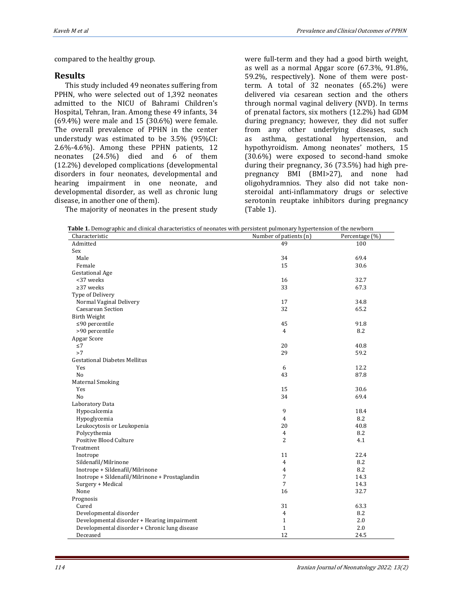compared to the healthy group.

#### **Results**

This study included 49 neonates suffering from PPHN, who were selected out of 1,392 neonates admitted to the NICU of Bahrami Children's Hospital, Tehran, Iran. Among these 49 infants, 34 (69.4%) were male and 15 (30.6%) were female. The overall prevalence of PPHN in the center understudy was estimated to be 3.5% (95%CI: 2.6%-4.6%). Among these PPHN patients, 12 neonates (24.5%) died and 6 of them (12.2%) developed complications (developmental disorders in four neonates, developmental and hearing impairment in one neonate, and developmental disorder, as well as chronic lung disease, in another one of them).

The majority of neonates in the present study

were full-term and they had a good birth weight, as well as a normal Apgar score (67.3%, 91.8%, 59.2%, respectively). None of them were postterm. A total of 32 neonates (65.2%) were delivered via cesarean section and the others through normal vaginal delivery (NVD). In terms of prenatal factors, six mothers (12.2%) had GDM during pregnancy; however, they did not suffer from any other underlying diseases, such as asthma, gestational hypertension, and hypothyroidism. Among neonates' mothers, 15 (30.6%) were exposed to second-hand smoke during their pregnancy, 36 (73.5%) had high prepregnancy BMI (BMI>27), and none had oligohydramnios. They also did not take nonsteroidal anti-inflammatory drugs or selective serotonin reuptake inhibitors during pregnancy (Table 1).

| <b>Table 1.</b> Demographic and clinical characteristics of neonates with persistent pulmonary hypertension of the newborn |  |
|----------------------------------------------------------------------------------------------------------------------------|--|
|                                                                                                                            |  |

| 49<br>Admitted<br>100<br>Sex<br>Male<br>34<br>69.4<br>15<br>30.6<br>Female<br><b>Gestational Age</b><br>32.7<br><37 weeks<br>16<br>$\geq$ 37 weeks<br>33<br>67.3<br>Type of Delivery<br>Normal Vaginal Delivery<br>34.8<br>17<br><b>Caesarean Section</b><br>32<br>65.2<br><b>Birth Weight</b><br>91.8<br>$≤90$ percentile<br>45<br>>90 percentile<br>8.2<br>$\overline{4}$<br>Apgar Score<br>20<br>40.8<br>${\leq}7$<br>29<br>59.2<br>>7<br><b>Gestational Diabetes Mellitus</b><br>12.2<br><b>Yes</b><br>6<br>N <sub>o</sub><br>87.8<br>43<br><b>Maternal Smoking</b><br>30.6<br>Yes<br>15<br>N <sub>o</sub><br>34<br>69.4<br>Laboratory Data<br>Hypocalcemia<br>9<br>18.4<br>8.2<br>Hypoglycemia<br>4<br>Leukocytosis or Leukopenia<br>20<br>40.8<br>8.2<br>Polycythemia<br>$\overline{4}$<br>Positive Blood Culture<br>2<br>4.1<br>Treatment<br>22.4<br>Inotrope<br>11<br>Sildenafil/Milrinone<br>8.2<br>$\overline{4}$<br>8.2<br>Inotrope + Sildenafil/Milrinone<br>$\overline{4}$<br>Inotrope + Sildenafil/Milrinone + Prostaglandin<br>7<br>14.3<br>$\overline{7}$<br>14.3<br>Surgery + Medical<br>None<br>16<br>32.7<br>Prognosis<br>Cured<br>63.3<br>31<br>8.2<br>Developmental disorder<br>$\overline{4}$<br>Developmental disorder + Hearing impairment<br>$\mathbf{1}$<br>2.0<br>Developmental disorder + Chronic lung disease<br>2.0<br>$\mathbf{1}$<br>12<br>Deceased<br>24.5 | <b>Table 1.</b> Demographic and chilical characteristics of heonates with persistent punnonally hypertension of the newborn<br>Characteristic | Number of patients (n) | Percentage (%) |
|---------------------------------------------------------------------------------------------------------------------------------------------------------------------------------------------------------------------------------------------------------------------------------------------------------------------------------------------------------------------------------------------------------------------------------------------------------------------------------------------------------------------------------------------------------------------------------------------------------------------------------------------------------------------------------------------------------------------------------------------------------------------------------------------------------------------------------------------------------------------------------------------------------------------------------------------------------------------------------------------------------------------------------------------------------------------------------------------------------------------------------------------------------------------------------------------------------------------------------------------------------------------------------------------------------------------------------------------------------------------------------------------|-----------------------------------------------------------------------------------------------------------------------------------------------|------------------------|----------------|
|                                                                                                                                                                                                                                                                                                                                                                                                                                                                                                                                                                                                                                                                                                                                                                                                                                                                                                                                                                                                                                                                                                                                                                                                                                                                                                                                                                                             |                                                                                                                                               |                        |                |
|                                                                                                                                                                                                                                                                                                                                                                                                                                                                                                                                                                                                                                                                                                                                                                                                                                                                                                                                                                                                                                                                                                                                                                                                                                                                                                                                                                                             |                                                                                                                                               |                        |                |
|                                                                                                                                                                                                                                                                                                                                                                                                                                                                                                                                                                                                                                                                                                                                                                                                                                                                                                                                                                                                                                                                                                                                                                                                                                                                                                                                                                                             |                                                                                                                                               |                        |                |
|                                                                                                                                                                                                                                                                                                                                                                                                                                                                                                                                                                                                                                                                                                                                                                                                                                                                                                                                                                                                                                                                                                                                                                                                                                                                                                                                                                                             |                                                                                                                                               |                        |                |
|                                                                                                                                                                                                                                                                                                                                                                                                                                                                                                                                                                                                                                                                                                                                                                                                                                                                                                                                                                                                                                                                                                                                                                                                                                                                                                                                                                                             |                                                                                                                                               |                        |                |
|                                                                                                                                                                                                                                                                                                                                                                                                                                                                                                                                                                                                                                                                                                                                                                                                                                                                                                                                                                                                                                                                                                                                                                                                                                                                                                                                                                                             |                                                                                                                                               |                        |                |
|                                                                                                                                                                                                                                                                                                                                                                                                                                                                                                                                                                                                                                                                                                                                                                                                                                                                                                                                                                                                                                                                                                                                                                                                                                                                                                                                                                                             |                                                                                                                                               |                        |                |
|                                                                                                                                                                                                                                                                                                                                                                                                                                                                                                                                                                                                                                                                                                                                                                                                                                                                                                                                                                                                                                                                                                                                                                                                                                                                                                                                                                                             |                                                                                                                                               |                        |                |
|                                                                                                                                                                                                                                                                                                                                                                                                                                                                                                                                                                                                                                                                                                                                                                                                                                                                                                                                                                                                                                                                                                                                                                                                                                                                                                                                                                                             |                                                                                                                                               |                        |                |
|                                                                                                                                                                                                                                                                                                                                                                                                                                                                                                                                                                                                                                                                                                                                                                                                                                                                                                                                                                                                                                                                                                                                                                                                                                                                                                                                                                                             |                                                                                                                                               |                        |                |
|                                                                                                                                                                                                                                                                                                                                                                                                                                                                                                                                                                                                                                                                                                                                                                                                                                                                                                                                                                                                                                                                                                                                                                                                                                                                                                                                                                                             |                                                                                                                                               |                        |                |
|                                                                                                                                                                                                                                                                                                                                                                                                                                                                                                                                                                                                                                                                                                                                                                                                                                                                                                                                                                                                                                                                                                                                                                                                                                                                                                                                                                                             |                                                                                                                                               |                        |                |
|                                                                                                                                                                                                                                                                                                                                                                                                                                                                                                                                                                                                                                                                                                                                                                                                                                                                                                                                                                                                                                                                                                                                                                                                                                                                                                                                                                                             |                                                                                                                                               |                        |                |
|                                                                                                                                                                                                                                                                                                                                                                                                                                                                                                                                                                                                                                                                                                                                                                                                                                                                                                                                                                                                                                                                                                                                                                                                                                                                                                                                                                                             |                                                                                                                                               |                        |                |
|                                                                                                                                                                                                                                                                                                                                                                                                                                                                                                                                                                                                                                                                                                                                                                                                                                                                                                                                                                                                                                                                                                                                                                                                                                                                                                                                                                                             |                                                                                                                                               |                        |                |
|                                                                                                                                                                                                                                                                                                                                                                                                                                                                                                                                                                                                                                                                                                                                                                                                                                                                                                                                                                                                                                                                                                                                                                                                                                                                                                                                                                                             |                                                                                                                                               |                        |                |
|                                                                                                                                                                                                                                                                                                                                                                                                                                                                                                                                                                                                                                                                                                                                                                                                                                                                                                                                                                                                                                                                                                                                                                                                                                                                                                                                                                                             |                                                                                                                                               |                        |                |
|                                                                                                                                                                                                                                                                                                                                                                                                                                                                                                                                                                                                                                                                                                                                                                                                                                                                                                                                                                                                                                                                                                                                                                                                                                                                                                                                                                                             |                                                                                                                                               |                        |                |
|                                                                                                                                                                                                                                                                                                                                                                                                                                                                                                                                                                                                                                                                                                                                                                                                                                                                                                                                                                                                                                                                                                                                                                                                                                                                                                                                                                                             |                                                                                                                                               |                        |                |
|                                                                                                                                                                                                                                                                                                                                                                                                                                                                                                                                                                                                                                                                                                                                                                                                                                                                                                                                                                                                                                                                                                                                                                                                                                                                                                                                                                                             |                                                                                                                                               |                        |                |
|                                                                                                                                                                                                                                                                                                                                                                                                                                                                                                                                                                                                                                                                                                                                                                                                                                                                                                                                                                                                                                                                                                                                                                                                                                                                                                                                                                                             |                                                                                                                                               |                        |                |
|                                                                                                                                                                                                                                                                                                                                                                                                                                                                                                                                                                                                                                                                                                                                                                                                                                                                                                                                                                                                                                                                                                                                                                                                                                                                                                                                                                                             |                                                                                                                                               |                        |                |
|                                                                                                                                                                                                                                                                                                                                                                                                                                                                                                                                                                                                                                                                                                                                                                                                                                                                                                                                                                                                                                                                                                                                                                                                                                                                                                                                                                                             |                                                                                                                                               |                        |                |
|                                                                                                                                                                                                                                                                                                                                                                                                                                                                                                                                                                                                                                                                                                                                                                                                                                                                                                                                                                                                                                                                                                                                                                                                                                                                                                                                                                                             |                                                                                                                                               |                        |                |
|                                                                                                                                                                                                                                                                                                                                                                                                                                                                                                                                                                                                                                                                                                                                                                                                                                                                                                                                                                                                                                                                                                                                                                                                                                                                                                                                                                                             |                                                                                                                                               |                        |                |
|                                                                                                                                                                                                                                                                                                                                                                                                                                                                                                                                                                                                                                                                                                                                                                                                                                                                                                                                                                                                                                                                                                                                                                                                                                                                                                                                                                                             |                                                                                                                                               |                        |                |
|                                                                                                                                                                                                                                                                                                                                                                                                                                                                                                                                                                                                                                                                                                                                                                                                                                                                                                                                                                                                                                                                                                                                                                                                                                                                                                                                                                                             |                                                                                                                                               |                        |                |
|                                                                                                                                                                                                                                                                                                                                                                                                                                                                                                                                                                                                                                                                                                                                                                                                                                                                                                                                                                                                                                                                                                                                                                                                                                                                                                                                                                                             |                                                                                                                                               |                        |                |
|                                                                                                                                                                                                                                                                                                                                                                                                                                                                                                                                                                                                                                                                                                                                                                                                                                                                                                                                                                                                                                                                                                                                                                                                                                                                                                                                                                                             |                                                                                                                                               |                        |                |
|                                                                                                                                                                                                                                                                                                                                                                                                                                                                                                                                                                                                                                                                                                                                                                                                                                                                                                                                                                                                                                                                                                                                                                                                                                                                                                                                                                                             |                                                                                                                                               |                        |                |
|                                                                                                                                                                                                                                                                                                                                                                                                                                                                                                                                                                                                                                                                                                                                                                                                                                                                                                                                                                                                                                                                                                                                                                                                                                                                                                                                                                                             |                                                                                                                                               |                        |                |
|                                                                                                                                                                                                                                                                                                                                                                                                                                                                                                                                                                                                                                                                                                                                                                                                                                                                                                                                                                                                                                                                                                                                                                                                                                                                                                                                                                                             |                                                                                                                                               |                        |                |
|                                                                                                                                                                                                                                                                                                                                                                                                                                                                                                                                                                                                                                                                                                                                                                                                                                                                                                                                                                                                                                                                                                                                                                                                                                                                                                                                                                                             |                                                                                                                                               |                        |                |
|                                                                                                                                                                                                                                                                                                                                                                                                                                                                                                                                                                                                                                                                                                                                                                                                                                                                                                                                                                                                                                                                                                                                                                                                                                                                                                                                                                                             |                                                                                                                                               |                        |                |
|                                                                                                                                                                                                                                                                                                                                                                                                                                                                                                                                                                                                                                                                                                                                                                                                                                                                                                                                                                                                                                                                                                                                                                                                                                                                                                                                                                                             |                                                                                                                                               |                        |                |
|                                                                                                                                                                                                                                                                                                                                                                                                                                                                                                                                                                                                                                                                                                                                                                                                                                                                                                                                                                                                                                                                                                                                                                                                                                                                                                                                                                                             |                                                                                                                                               |                        |                |
|                                                                                                                                                                                                                                                                                                                                                                                                                                                                                                                                                                                                                                                                                                                                                                                                                                                                                                                                                                                                                                                                                                                                                                                                                                                                                                                                                                                             |                                                                                                                                               |                        |                |
|                                                                                                                                                                                                                                                                                                                                                                                                                                                                                                                                                                                                                                                                                                                                                                                                                                                                                                                                                                                                                                                                                                                                                                                                                                                                                                                                                                                             |                                                                                                                                               |                        |                |
|                                                                                                                                                                                                                                                                                                                                                                                                                                                                                                                                                                                                                                                                                                                                                                                                                                                                                                                                                                                                                                                                                                                                                                                                                                                                                                                                                                                             |                                                                                                                                               |                        |                |
|                                                                                                                                                                                                                                                                                                                                                                                                                                                                                                                                                                                                                                                                                                                                                                                                                                                                                                                                                                                                                                                                                                                                                                                                                                                                                                                                                                                             |                                                                                                                                               |                        |                |
|                                                                                                                                                                                                                                                                                                                                                                                                                                                                                                                                                                                                                                                                                                                                                                                                                                                                                                                                                                                                                                                                                                                                                                                                                                                                                                                                                                                             |                                                                                                                                               |                        |                |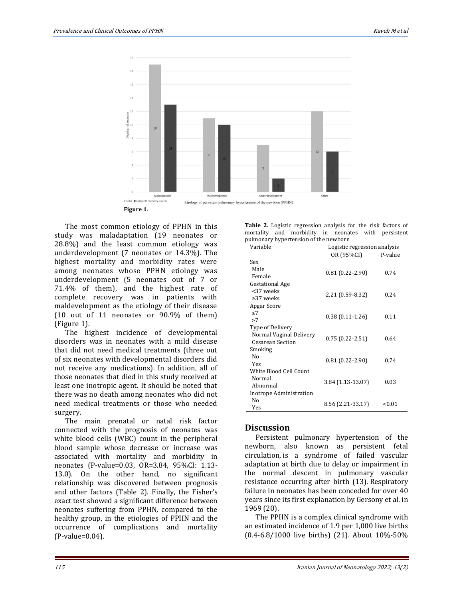

The most common etiology of PPHN in this study was maladaptation (19 neonates or 28.8%) and the least common etiology was underdevelopment (7 neonates or 14.3%). The highest mortality and morbidity rates were among neonates whose PPHN etiology was underdevelopment (5 neonates out of 7 or 71.4% of them), and the highest rate of complete recovery was in patients with maldevelopment as the etiology of their disease (10 out of 11 neonates or 90.9% of them) (Figure 1).

The highest incidence of developmental disorders was in neonates with a mild disease that did not need medical treatments (three out of six neonates with developmental disorders did not receive any medications). In addition, all of those neonates that died in this study received at least one inotropic agent. It should be noted that there was no death among neonates who did not need medical treatments or those who needed surgery.

The main prenatal or natal risk factor connected with the prognosis of neonates was white blood cells (WBC) count in the peripheral blood sample whose decrease or increase was associated with mortality and morbidity in neonates (P-value=0.03, OR=3.84, 95%CI: 1.13- 13.0). On the other hand, no significant relationship was discovered between prognosis and other factors (Table 2). Finally, the Fisher's exact test showed a significant difference between neonates suffering from PPHN, compared to the healthy group, in the etiologies of PPHN and the occurrence of complications and mortality (P-value=0.04).

|                                       |  | Table 2. Logistic regression analysis for the risk factors of |  |  |  |  |  |  |
|---------------------------------------|--|---------------------------------------------------------------|--|--|--|--|--|--|
|                                       |  | mortality and morbidity in neonates with persistent           |  |  |  |  |  |  |
| pulmonary hypertension of the newborn |  |                                                               |  |  |  |  |  |  |

| umionaly hypertension of the newborn<br>Variable                |                     | Logistic regression analysis |  |  |  |
|-----------------------------------------------------------------|---------------------|------------------------------|--|--|--|
|                                                                 | OR (95%CI)          | P-value                      |  |  |  |
| Sex<br>Male<br>Female<br><b>Gestational Age</b>                 | $0.81(0.22 - 2.90)$ | 0.74                         |  |  |  |
| <37 weeks<br>$\geq$ 37 weeks                                    | 2.21 (0.59-8.32)    | 0.24                         |  |  |  |
| Apgar Score<br>< 7<br>>7                                        | $0.38(0.11-1.26)$   | 0.11                         |  |  |  |
| Type of Delivery<br>Normal Vaginal Delivery<br>Cesarean Section | $0.75(0.22 - 2.51)$ | 0.64                         |  |  |  |
| Smoking<br>Nο<br>Yes                                            | $0.81(0.22 - 2.90)$ | 0.74                         |  |  |  |
| White Blood Cell Count<br>Normal<br>Abnormal                    | 3.84 (1.13-13.07)   | 0.03                         |  |  |  |
| Inotrope Administration<br>No<br>Yes                            | 8.56 (2.21-33.17)   | <0.01                        |  |  |  |

## **Discussion**

Persistent pulmonary hypertension of the newborn, also known as persistent fetal circulation, is a syndrome of failed vascular adaptation at birth due to delay or impairment in the normal descent in pulmonary vascular resistance occurring after birth (13). Respiratory failure in neonates has been conceded for over 40 years since its first explanation by Gersony et al. in 1969 (20).

The PPHN is a complex clinical syndrome with an estimated incidence of 1.9 per 1,000 live births (0.4-6.8/1000 live births) (21). About 10%-50%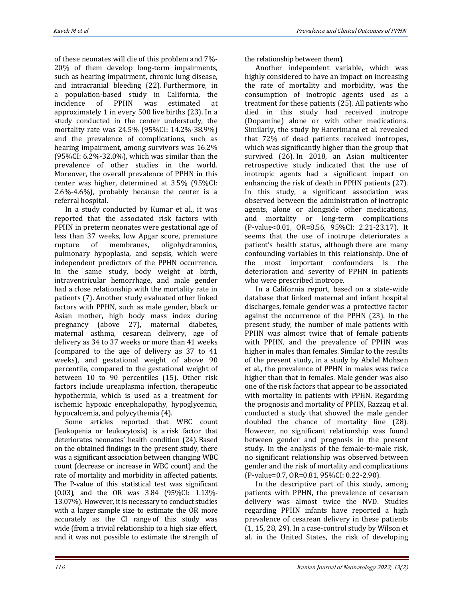of these neonates will die of this problem and 7%- 20% of them develop long-term impairments, such as hearing impairment, chronic lung disease, and intracranial bleeding (22). Furthermore, in a population-based study in California, the incidence of PPHN was estimated at approximately 1 in every 500 live births (23). In a study conducted in the center understudy, the mortality rate was 24.5% (95%CI: 14.2%-38.9%) and the prevalence of complications, such as hearing impairment, among survivors was 16.2% (95%CI: 6.2%-32.0%), which was similar than the prevalence of other studies in the world. Moreover, the overall prevalence of PPHN in this center was higher, determined at 3.5% (95%CI: 2.6%-4.6%), probably because the center is a referral hospital.

In a study conducted by Kumar et al., it was reported that the associated risk factors with PPHN in preterm neonates were gestational age of less than 37 weeks, low Apgar score, premature rupture of membranes, oligohydramnios, pulmonary hypoplasia, and sepsis, which were independent predictors of the PPHN occurrence. In the same study, body weight at birth, intraventricular hemorrhage, and male gender had a close relationship with the mortality rate in patients (7). Another study evaluated other linked factors with PPHN, such as male gender, black or Asian mother, high body mass index during pregnancy (above 27), maternal diabetes, maternal asthma, cesarean delivery, age of delivery as 34 to 37 weeks or more than 41 weeks (compared to the age of delivery as 37 to 41 weeks), and gestational weight of above 90 percentile, compared to the gestational weight of between 10 to 90 percentiles (15). Other risk factors include ureaplasma infection, therapeutic hypothermia, which is used as a treatment for ischemic hypoxic encephalopathy, hypoglycemia, hypocalcemia, and polycythemia (4).

Some articles reported that WBC count (leukopenia or leukocytosis) is a risk factor that deteriorates neonates' health condition (24). Based on the obtained findings in the present study, there was a significant association between changing WBC count (decrease or increase in WBC count) and the rate of mortality and morbidity in affected patients. The P-value of this statistical test was significant (0.03), and the OR was 3.84 (95%CI: 1.13%- 13.07%). However, it is necessary to conduct studies with a larger sample size to estimate the OR more accurately as the CI range of this study was wide (from a trivial relationship to a high size effect, and it was not possible to estimate the strength of

the relationship between them).

Another independent variable, which was highly considered to have an impact on increasing the rate of mortality and morbidity, was the consumption of inotropic agents used as a treatment for these patients (25). All patients who died in this study had received inotrope (Dopamine) alone or with other medications. Similarly, the study by Harerimana et al. revealed that 72% of dead patients received inotropes, which was significantly higher than the group that survived (26). In 2018, an Asian multicenter retrospective study indicated that the use of inotropic agents had a significant impact on enhancing the risk of death in PPHN patients (27). In this study, a significant association was observed between the administration of inotropic agents, alone or alongside other medications, and mortality or long-term complications (P-value<0.01, OR=8.56, 95%CI: 2.21-23.17). It seems that the use of inotrope deteriorates a patient's health status, although there are many confounding variables in this relationship. One of the most important confounders is the deterioration and severity of PPHN in patients who were prescribed inotrope.

In a California report, based on a state-wide database that linked maternal and infant hospital discharges, female gender was a protective factor against the occurrence of the PPHN (23). In the present study, the number of male patients with PPHN was almost twice that of female patients with PPHN, and the prevalence of PPHN was higher in males than females. Similar to the results of the present study, in a study by Abdel Mohsen et al., the prevalence of PPHN in males was twice higher than that in females. Male gender was also one of the risk factors that appear to be associated with mortality in patients with PPHN. Regarding the prognosis and mortality of PPHN, Razzaq et al. conducted a study that showed the male gender doubled the chance of mortality line (28). However, no significant relationship was found between gender and prognosis in the present study. In the analysis of the female-to-male risk, no significant relationship was observed between gender and the risk of mortality and complications (P-value=0.7, OR=0.81, 95%CI: 0.22-2.90).

In the descriptive part of this study, among patients with PPHN, the prevalence of cesarean delivery was almost twice the NVD. Studies regarding PPHN infants have reported a high prevalence of cesarean delivery in these patients (1, 15, 28, 29). In a case-control study by Wilson et al. in the United States, the risk of developing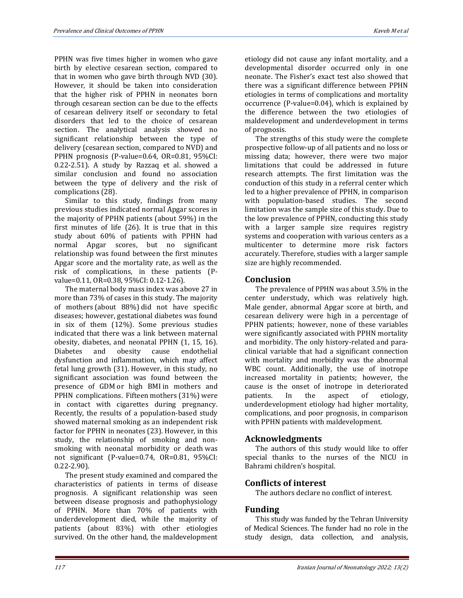PPHN was five times higher in women who gave birth by elective cesarean section, compared to

that in women who gave birth through NVD (30). However, it should be taken into consideration that the higher risk of PPHN in neonates born through cesarean section can be due to the effects of cesarean delivery itself or secondary to fetal disorders that led to the choice of cesarean section. The analytical analysis showed no significant relationship between the type of delivery (cesarean section, compared to NVD) and PPHN prognosis (P-value=0.64, OR=0.81, 95%CI: 0.22-2.51). A study by Razzaq et al. showed a similar conclusion and found no association between the type of delivery and the risk of complications (28).

Similar to this study, findings from many previous studies indicated normal Apgar scores in the majority of PPHN patients (about 59%) in the first minutes of life (26). It is true that in this study about 60% of patients with PPHN had normal Apgar scores, but no significant relationship was found between the first minutes Apgar score and the mortality rate, as well as the risk of complications, in these patients (Pvalue=0.11, OR=0.38, 95%CI: 0.12-1.26).

The maternal body mass index was above 27 in more than 73% of cases in this study. The majority of mothers (about 88%) did not have specific diseases; however, gestational diabetes was found in six of them (12%). Some previous studies indicated that there was a link between maternal obesity, diabetes, and neonatal PPHN (1, 15, 16). Diabetes and obesity cause endothelial dysfunction and inflammation, which may affect fetal lung growth (31). However, in this study, no significant association was found between the presence of GDM or high BMI in mothers and PPHN complications. Fifteen mothers (31%) were in contact with cigarettes during pregnancy. Recently, the results of a population-based study showed maternal smoking as an independent risk factor for PPHN in neonates (23). However, in this study, the relationship of smoking and nonsmoking with neonatal morbidity or death was not significant (P-value=0.74, OR=0.81, 95%CI: 0.22-2.90).

The present study examined and compared the characteristics of patients in terms of disease prognosis. A significant relationship was seen between disease prognosis and pathophysiology of PPHN. More than 70% of patients with underdevelopment died, while the majority of patients (about 83%) with other etiologies survived. On the other hand, the maldevelopment

etiology did not cause any infant mortality, and a developmental disorder occurred only in one neonate. The Fisher's exact test also showed that there was a significant difference between PPHN etiologies in terms of complications and mortality occurrence (P-value=0.04), which is explained by the difference between the two etiologies of maldevelopment and underdevelopment in terms of prognosis.

The strengths of this study were the complete prospective follow-up of all patients and no loss or missing data; however, there were two major limitations that could be addressed in future research attempts. The first limitation was the conduction of this study in a referral center which led to a higher prevalence of PPHN, in comparison with population-based studies. The second limitation was the sample size of this study. Due to the low prevalence of PPHN, conducting this study with a larger sample size requires registry systems and cooperation with various centers as a multicenter to determine more risk factors accurately. Therefore, studies with a larger sample size are highly recommended.

## **Conclusion**

The prevalence of PPHN was about 3.5% in the center understudy, which was relatively high. Male gender, abnormal Apgar score at birth, and cesarean delivery were high in a percentage of PPHN patients; however, none of these variables were significantly associated with PPHN mortality and morbidity. The only history-related and paraclinical variable that had a significant connection with mortality and morbidity was the abnormal WBC count. Additionally, the use of inotrope increased mortality in patients; however, the cause is the onset of inotrope in deteriorated patients. In the aspect of etiology, underdevelopment etiology had higher mortality, complications, and poor prognosis, in comparison with PPHN patients with maldevelopment.

## **Acknowledgments**

The authors of this study would like to offer special thanks to the nurses of the NICU in Bahrami children's hospital.

## **Conflicts of interest**

The authors declare no conflict of interest.

## **Funding**

This study was funded by the Tehran University of Medical Sciences. The funder had no role in the study design, data collection, and analysis,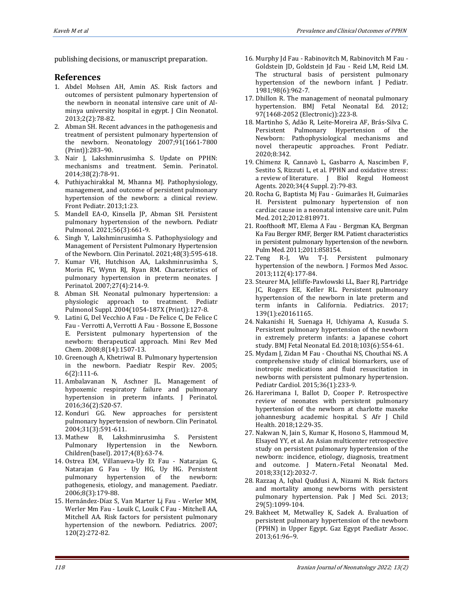publishing decisions, or manuscript preparation.

#### **References**

- 1. Abdel Mohsen AH, Amin AS. Risk factors and outcomes of persistent pulmonary hypertension of the newborn in neonatal intensive care unit of Alminya university hospital in egypt. J Clin Neonatol. 2013;2(2):78-82.
- 2. Abman SH. Recent advances in the pathogenesis and treatment of persistent pulmonary hypertension of the newborn. Neonatology 2007;91(1661-7800 (Print)):283–90.
- 3. Nair J, Lakshminrusimha S. Update on PPHN: mechanisms and treatment. Semin. Perinatol. 2014;38(2):78-91.
- 4. Puthiyachirakkal M, Mhanna MJ. Pathophysiology, management, and outcome of persistent pulmonary hypertension of the newborn: a clinical review. Front Pediatr. 2013;1:23.
- 5. Mandell EA-O, Kinsella JP, Abman SH. Persistent pulmonary hypertension of the newborn. Pediatr Pulmonol. 2021;56(3):661-9.
- 6. Singh Y, Lakshminrusimha S. Pathophysiology and Management of Persistent Pulmonary Hypertension of the Newborn. Clin Perinatol. 2021;48(3):595-618.
- 7. Kumar VH, Hutchison AA, Lakshminrusimha S, Morin FC, Wynn RJ, Ryan RM. Characteristics of pulmonary hypertension in preterm neonates. J Perinatol. 2007;27(4):214-9.
- 8. Abman SH. Neonatal pulmonary hypertension: a physiologic approach to treatment. Pediatr Pulmonol Suppl. 2004(1054-187X (Print)):127-8.
- 9. Latini G, Del Vecchio A Fau De Felice C, De Felice C Fau - Verrotti A, Verrotti A Fau - Bossone E, Bossone E. Persistent pulmonary hypertension of the newborn: therapeutical approach. Mini Rev Med Chem. 2008;8(14):1507-13.
- 10. Greenough A, Khetriwal B. Pulmonary hypertension in the newborn. Paediatr Respir Rev. 2005; 6(2):111-6.
- 11. Ambalavanan N, Aschner JL. Management of hypoxemic respiratory failure and pulmonary hypertension in preterm infants. J Perinatol. 2016;36(2):S20-S7.
- 12. Konduri GG. New approaches for persistent pulmonary hypertension of newborn. Clin Perinatol. 2004;31(3):591-611.
- 13. Mathew B, Lakshminrusimha S. Persistent Pulmonary Hypertension in the Newborn. Children(basel). 2017;4(8):63-74.
- 14. Ostrea EM, Villanueva-Uy Et Fau Natarajan G, Natarajan G Fau - Uy HG, Uy HG. Persistent pulmonary hypertension of the newborn: pathogenesis, etiology, and management. Paediatr. 2006;8(3):179-88.
- 15. Hernández-Díaz S, Van Marter Lj Fau Werler MM, Werler Mm Fau - Louik C, Louik C Fau - Mitchell AA, Mitchell AA. Risk factors for persistent pulmonary hypertension of the newborn. Pediatrics. 2007; 120(2):272-82.
- 16. Murphy Jd Fau Rabinovitch M, Rabinovitch M Fau Goldstein JD, Goldstein Jd Fau - Reid LM, Reid LM. The structural basis of persistent pulmonary hypertension of the newborn infant. J Pediatr. 1981;98(6):962-7.
- 17. Dhillon R. The management of neonatal pulmonary hypertension. BMJ Fetal Neonatal Ed. 2012; 97(1468-2052 (Electronic)):223-8.
- 18. Martinho S, Adão R, Leite-Moreira AF, Brás-Silva C. Persistent Pulmonary Hypertension of the Newborn: Pathophysiological mechanisms and novel therapeutic approaches. Front Pediatr. 2020;8:342.
- 19. Chimenz R, Cannavò L, Gasbarro A, Nascimben F, Sestito S, Rizzuti L, et al. PPHN and oxidative stress: a review of literature. J Biol Regul Homeost Agents. 2020;34(4 Suppl. 2):79-83.
- 20. Rocha G, Baptista Mj Fau Guimarães H, Guimarães H. Persistent pulmonary hypertension of non cardiac cause in a neonatal intensive care unit. Pulm Med. 2012;2012:818971.
- 21. Roofthooft MT, Elema A Fau Bergman KA, Bergman Ka Fau Berger RMF, Berger RM. Patient characteristics in persistent pulmonary hypertension of the newborn. Pulm Med. 2011;2011:858154.
- 22. Teng R-J, Wu T-J. Persistent pulmonary hypertension of the newborn. J Formos Med Assoc. 2013;112(4):177-84.
- 23. Steurer MA, Jelliffe-Pawlowski LL, Baer RJ, Partridge JC, Rogers EE, Keller RL. Persistent pulmonary hypertension of the newborn in late preterm and term infants in California. Pediatrics. 2017; 139(1):e20161165.
- 24. Nakanishi H, Suenaga H, Uchiyama A, Kusuda S. Persistent pulmonary hypertension of the newborn in extremely preterm infants: a Japanese cohort study. BMJ Fetal Neonatal Ed. 2018;103(6):554-61.
- 25. Mydam J, Zidan M Fau Chouthai NS, Chouthai NS. A comprehensive study of clinical biomarkers, use of inotropic medications and fluid resuscitation in newborns with persistent pulmonary hypertension. Pediatr Cardiol. 2015;36(1):233-9.
- 26. Harerimana I, Ballot D, Cooper P. Retrospective review of neonates with persistent pulmonary hypertension of the newborn at charlotte maxeke johannesburg academic hospital. S Afr J Child Health. 2018;12:29-35.
- 27. Nakwan N, Jain S, Kumar K, Hosono S, Hammoud M, Elsayed YY, et al. An Asian multicenter retrospective study on persistent pulmonary hypertension of the newborn: incidence, etiology, diagnosis, treatment and outcome. J Matern.-Fetal Neonatal Med. 2018;33(12):2032-7.
- 28. Razzaq A, Iqbal Quddusi A, Nizami N. Risk factors and mortality among newborns with persistent pulmonary hypertension. Pak J Med Sci. 2013; 29(5):1099-104.
- 29. Bakheet M, Metwalley K, Sadek A. Evaluation of persistent pulmonary hypertension of the newborn (PPHN) in Upper Egypt. Gaz Egypt Paediatr Assoc. 2013;61:96–9.